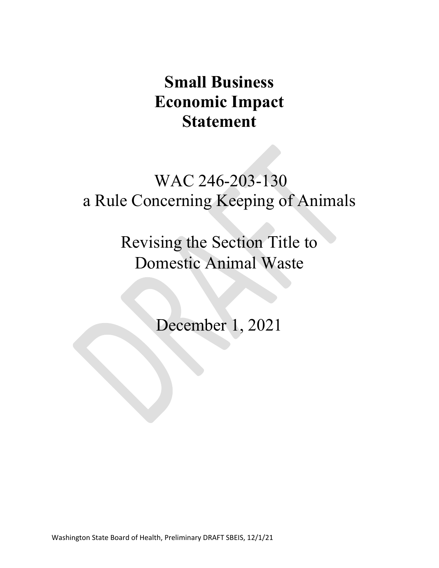# **Small Business Economic Impact Statement**

# WAC 246-203-130 a Rule Concerning Keeping of Animals

Revising the Section Title to Domestic Animal Waste

December 1, 2021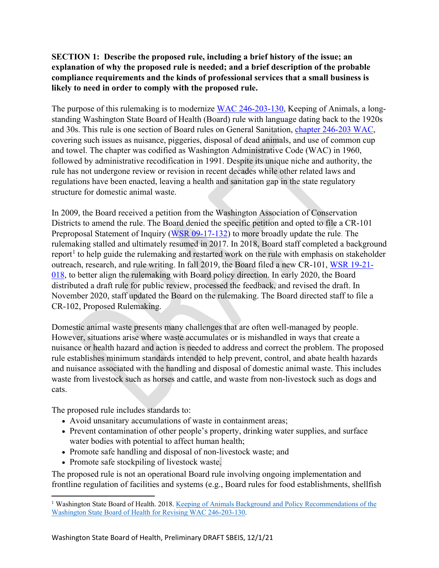## **SECTION 1: Describe the proposed rule, including a brief history of the issue; an explanation of why the proposed rule is needed; and a brief description of the probable compliance requirements and the kinds of professional services that a small business is likely to need in order to comply with the proposed rule.**

The purpose of this rulemaking is to modernize [WAC 246-203-130,](https://apps.leg.wa.gov/WAC/default.aspx?cite=246-203-130) Keeping of Animals, a longstanding Washington State Board of Health (Board) rule with language dating back to the 1920s and 30s. This rule is one section of Board rules on General Sanitation, [chapter 246-203 WAC,](https://app.leg.wa.gov/wac/default.aspx?cite=246-203) covering such issues as nuisance, piggeries, disposal of dead animals, and use of common cup and towel. The chapter was codified as Washington Administrative Code (WAC) in 1960, followed by administrative recodification in 1991. Despite its unique niche and authority, the rule has not undergone review or revision in recent decades while other related laws and regulations have been enacted, leaving a health and sanitation gap in the state regulatory structure for domestic animal waste.

In 2009, the Board received a petition from the Washington Association of Conservation Districts to amend the rule. The Board denied the specific petition and opted to file a CR-101 Preproposal Statement of Inquiry [\(WSR 09-17-132\)](http://apps.leg.wa.gov/documents/laws/wsr/2009/17%5C09-17-132.htm) to more broadly update the rule. The rulemaking stalled and ultimately resumed in 2017. In 2018, Board staff completed a background report<sup>[1](#page-1-0)</sup> to help guide the rulemaking and restarted work on the rule with emphasis on stakeholder outreach, research, and rule writing. In fall 2019, the Board filed a new CR-101, [WSR 19-21-](http://lawfilesext.leg.wa.gov/law/wsr/2019/21/19-21-018.htm) [018,](http://lawfilesext.leg.wa.gov/law/wsr/2019/21/19-21-018.htm) to better align the rulemaking with Board policy direction. In early 2020, the Board distributed a draft rule for public review, processed the feedback, and revised the draft. In November 2020, staff updated the Board on the rulemaking. The Board directed staff to file a CR-102, Proposed Rulemaking.

Domestic animal waste presents many challenges that are often well-managed by people. However, situations arise where waste accumulates or is mishandled in ways that create a nuisance or health hazard and action is needed to address and correct the problem. The proposed rule establishes minimum standards intended to help prevent, control, and abate health hazards and nuisance associated with the handling and disposal of domestic animal waste. This includes waste from livestock such as horses and cattle, and waste from non-livestock such as dogs and cats.

The proposed rule includes standards to:

- Avoid unsanitary accumulations of waste in containment areas;
- Prevent contamination of other people's property, drinking water supplies, and surface water bodies with potential to affect human health;
- Promote safe handling and disposal of non-livestock waste; and
- Promote safe stockpiling of livestock waste.

The proposed rule is not an operational Board rule involving ongoing implementation and frontline regulation of facilities and systems (e.g., Board rules for food establishments, shellfish

<span id="page-1-0"></span><sup>&</sup>lt;sup>1</sup> Washington State Board of Health. 2018. Keeping of Animals Background and Policy Recommendations of the [Washington State Board of Health for Revising WAC 246-203-130.](https://sboh.wa.gov/Portals/7/Doc/Publications/KeepingOfAnimals-FinalReport.pdf)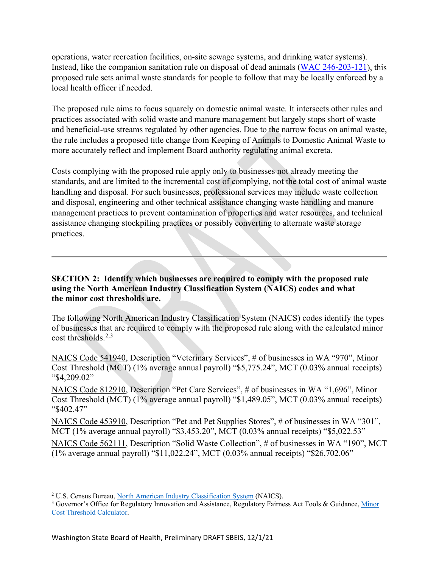operations, water recreation facilities, on-site sewage systems, and drinking water systems). Instead, like the companion sanitation rule on disposal of dead animals [\(WAC 246-203-121\)](https://apps.leg.wa.gov/WAC/default.aspx?cite=246-203-121), this proposed rule sets animal waste standards for people to follow that may be locally enforced by a local health officer if needed.

The proposed rule aims to focus squarely on domestic animal waste. It intersects other rules and practices associated with solid waste and manure management but largely stops short of waste and beneficial-use streams regulated by other agencies. Due to the narrow focus on animal waste, the rule includes a proposed title change from Keeping of Animals to Domestic Animal Waste to more accurately reflect and implement Board authority regulating animal excreta.

Costs complying with the proposed rule apply only to businesses not already meeting the standards, and are limited to the incremental cost of complying, not the total cost of animal waste handling and disposal. For such businesses, professional services may include waste collection and disposal, engineering and other technical assistance changing waste handling and manure management practices to prevent contamination of properties and water resources, and technical assistance changing stockpiling practices or possibly converting to alternate waste storage practices.

#### **SECTION 2: Identify which businesses are required to comply with the proposed rule using the North American Industry Classification System (NAICS) codes and what the minor cost thresholds are.**

The following North American Industry Classification System (NAICS) codes identify the types of businesses that are required to comply with the proposed rule along with the calculated minor cost thresholds. $2,3$  $2,3$  $2,3$ 

NAICS Code 541940, Description "Veterinary Services", # of businesses in WA "970", Minor Cost Threshold (MCT) (1% average annual payroll) "\$5,775.24", MCT (0.03% annual receipts) "\$4,209.02"

NAICS Code 812910, Description "Pet Care Services", # of businesses in WA "1,696", Minor Cost Threshold (MCT) (1% average annual payroll) "\$1,489.05", MCT (0.03% annual receipts) "\$402.47"

NAICS Code 453910, Description "Pet and Pet Supplies Stores", # of businesses in WA "301", MCT (1% average annual payroll) "\$3,453.20", MCT (0.03% annual receipts) "\$5,022.53"

NAICS Code 562111, Description "Solid Waste Collection", # of businesses in WA "190", MCT (1% average annual payroll) "\$11,022.24", MCT (0.03% annual receipts) "\$26,702.06"

<span id="page-2-0"></span><sup>2</sup> U.S. Census Bureau, [North American Industry Classification System](https://www.census.gov/naics/) (NAICS).

<span id="page-2-1"></span><sup>&</sup>lt;sup>3</sup> Governor's Office for Regulatory Innovation and Assistance, Regulatory Fairness Act Tools & Guidance, Minor [Cost Threshold Calculator.](https://www.oria.wa.gov/Portals/_oria/VersionedDocuments/RFA/Regulatory_Fairness_Act/Minor-Cost-Threshold-Calculator.xlsm)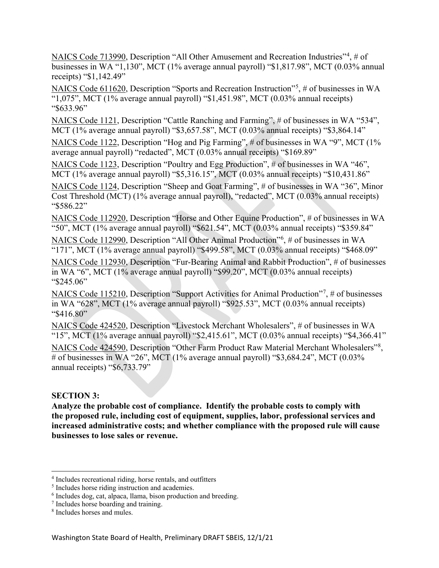NAICS Code 713990, Description "All Other Amusement and Recreation Industries"<sup>[4](#page-3-0)</sup>, # of businesses in WA "1,130", MCT (1% average annual payroll) "\$1,817.98", MCT (0.03% annual receipts) "\$1,142.49"

NAICS Code 611620, Description "Sports and Recreation Instruction"<sup>[5](#page-3-1)</sup>, # of businesses in WA " $1,075$ ", MCT (1% average annual payroll) "\$1,451.98", MCT (0.03% annual receipts) "\$633.96"

NAICS Code 1121, Description "Cattle Ranching and Farming", # of businesses in WA "534", MCT (1% average annual payroll) "\$3,657.58", MCT (0.03% annual receipts) "\$3,864.14"

NAICS Code 1122, Description "Hog and Pig Farming", # of businesses in WA "9", MCT (1% average annual payroll) "redacted", MCT (0.03% annual receipts) "\$169.89"

NAICS Code 1123, Description "Poultry and Egg Production", # of businesses in WA "46", MCT (1% average annual payroll) "\$5,316.15", MCT (0.03% annual receipts) "\$10,431.86"

NAICS Code 1124, Description "Sheep and Goat Farming", # of businesses in WA "36", Minor Cost Threshold (MCT) (1% average annual payroll), "redacted", MCT (0.03% annual receipts) "\$586.22"

NAICS Code 112920, Description "Horse and Other Equine Production", # of businesses in WA "50", MCT (1% average annual payroll) "\$621.54", MCT (0.03% annual receipts) "\$359.84"

NAICS Code 112990, Description "All Other Animal Production"<sup>[6](#page-3-2)</sup>, # of businesses in WA "171", MCT (1% average annual payroll) "\$499.58", MCT (0.03% annual receipts) "\$468.09"

NAICS Code 112930, Description "Fur-Bearing Animal and Rabbit Production", # of businesses in WA "6", MCT (1% average annual payroll) "\$99.20", MCT (0.03% annual receipts) "\$245.06"

NAICS Code 115210, Description "Support Activities for Animal Production"<sup>[7](#page-3-3)</sup>, # of businesses in WA "628", MCT (1% average annual payroll) "\$925.53", MCT (0.03% annual receipts) "\$416.80"

NAICS Code 424520, Description "Livestock Merchant Wholesalers", # of businesses in WA "15", MCT (1% average annual payroll) "\$2,415.61", MCT (0.03% annual receipts) "\$4,366.41"

NAICS Code 424590, Description "Other Farm Product Raw Material Merchant Wholesalers"<sup>[8](#page-3-4)</sup>, # of businesses in WA "26", MCT (1% average annual payroll) "\$3,684.24", MCT (0.03% annual receipts) "\$6,733.79"

#### **SECTION 3:**

**Analyze the probable cost of compliance. Identify the probable costs to comply with the proposed rule, including cost of equipment, supplies, labor, professional services and increased administrative costs; and whether compliance with the proposed rule will cause businesses to lose sales or revenue.**

<span id="page-3-0"></span><sup>4</sup> Includes recreational riding, horse rentals, and outfitters

<span id="page-3-1"></span><sup>5</sup> Includes horse riding instruction and academies.

<span id="page-3-2"></span><sup>6</sup> Includes dog, cat, alpaca, llama, bison production and breeding.

<span id="page-3-3"></span><sup>7</sup> Includes horse boarding and training.

<span id="page-3-4"></span><sup>8</sup> Includes horses and mules.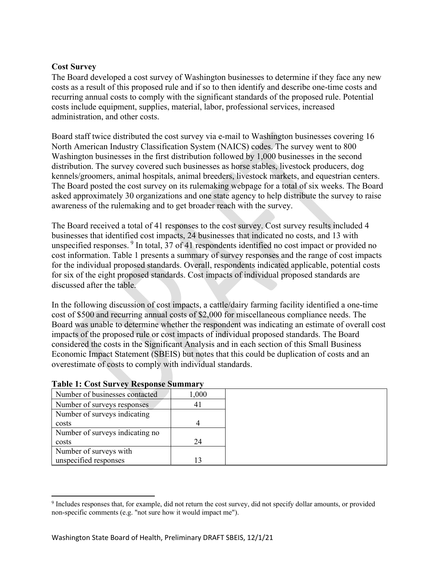#### **Cost Survey**

The Board developed a cost survey of Washington businesses to determine if they face any new costs as a result of this proposed rule and if so to then identify and describe one-time costs and recurring annual costs to comply with the significant standards of the proposed rule. Potential costs include equipment, supplies, material, labor, professional services, increased administration, and other costs.

Board staff twice distributed the cost survey via e-mail to Washington businesses covering 16 North American Industry Classification System (NAICS) codes. The survey went to 800 Washington businesses in the first distribution followed by 1,000 businesses in the second distribution. The survey covered such businesses as horse stables, livestock producers, dog kennels/groomers, animal hospitals, animal breeders, livestock markets, and equestrian centers. The Board posted the cost survey on its rulemaking webpage for a total of six weeks. The Board asked approximately 30 organizations and one state agency to help distribute the survey to raise awareness of the rulemaking and to get broader reach with the survey.

The Board received a total of 41 responses to the cost survey. Cost survey results included 4 businesses that identified cost impacts, 24 businesses that indicated no costs, and 13 with unspecified responses. [9](#page-4-0) In total, 37 of 41 respondents identified no cost impact or provided no cost information. Table 1 presents a summary of survey responses and the range of cost impacts for the individual proposed standards. Overall, respondents indicated applicable, potential costs for six of the eight proposed standards. Cost impacts of individual proposed standards are discussed after the table.

In the following discussion of cost impacts, a cattle/dairy farming facility identified a one-time cost of \$500 and recurring annual costs of \$2,000 for miscellaneous compliance needs. The Board was unable to determine whether the respondent was indicating an estimate of overall cost impacts of the proposed rule or cost impacts of individual proposed standards. The Board considered the costs in the Significant Analysis and in each section of this Small Business Economic Impact Statement (SBEIS) but notes that this could be duplication of costs and an overestimate of costs to comply with individual standards.

| Number of businesses contacted  | 1,000 |
|---------------------------------|-------|
| Number of surveys responses     | 4 I   |
| Number of surveys indicating    |       |
| costs                           |       |
| Number of surveys indicating no |       |
| costs                           | 24    |
| Number of surveys with          |       |
| unspecified responses           |       |

#### **Table 1: Cost Survey Response Summary**

<span id="page-4-0"></span><sup>&</sup>lt;sup>9</sup> Includes responses that, for example, did not return the cost survey, did not specify dollar amounts, or provided non-specific comments (e.g. "not sure how it would impact me").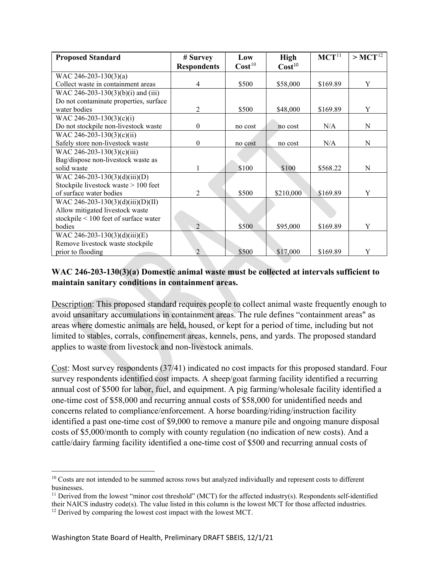<span id="page-5-0"></span>

| <b>Proposed Standard</b>               | # Survey                    | Low                | <b>High</b>        | MCT <sup>11</sup> | $>$ MCT <sup>12</sup> |
|----------------------------------------|-----------------------------|--------------------|--------------------|-------------------|-----------------------|
|                                        | <b>Respondents</b>          | Cost <sup>10</sup> | Cost <sup>10</sup> |                   |                       |
| WAC 246-203-130(3)(a)                  |                             |                    |                    |                   |                       |
| Collect waste in containment areas     | 4                           | \$500              | \$58,000           | \$169.89          | Y                     |
| WAC 246-203-130(3)(b)(i) and (iii)     |                             |                    |                    |                   |                       |
| Do not contaminate properties, surface |                             |                    |                    |                   |                       |
| water bodies                           | $\overline{2}$              | \$500              | \$48,000           | \$169.89          | Y                     |
| WAC 246-203-130(3)(c)(i)               |                             |                    |                    |                   |                       |
| Do not stockpile non-livestock waste   | $\mathbf{0}$                | no cost            | no cost            | N/A               | N                     |
| WAC 246-203-130(3)(c)(ii)              |                             |                    |                    |                   |                       |
| Safely store non-livestock waste       | $\boldsymbol{0}$            | no cost            | no cost            | N/A               | N                     |
| WAC 246-203-130(3)(c)(iii)             |                             |                    |                    |                   |                       |
| Bag/dispose non-livestock waste as     |                             |                    |                    |                   |                       |
| solid waste                            | 1                           | \$100              | \$100              | \$568.22          | N                     |
| WAC 246-203-130(3)(d)(iii)(D)          |                             |                    |                    |                   |                       |
| Stockpile livestock waste > 100 feet   |                             |                    |                    |                   |                       |
| of surface water bodies                | 2                           | \$500              | \$210,000          | \$169.89          | Y                     |
| WAC 246-203-130(3)(d)(iii)(D)(II)      |                             |                    |                    |                   |                       |
| Allow mitigated livestock waste        |                             |                    |                    |                   |                       |
| stockpile < 100 feet of surface water  |                             |                    |                    |                   |                       |
| bodies                                 | $\overline{2}$              | \$500              | \$95,000           | \$169.89          | Y                     |
| WAC 246-203-130(3)(d)(iii)(E)          |                             |                    |                    |                   |                       |
| Remove livestock waste stockpile       |                             |                    |                    |                   |                       |
| prior to flooding                      | $\mathcal{D}_{\mathcal{A}}$ | \$500              | \$17,000           | \$169.89          | Y                     |

# **WAC 246-203-130(3)(a) Domestic animal waste must be collected at intervals sufficient to maintain sanitary conditions in containment areas.**

Description: This proposed standard requires people to collect animal waste frequently enough to avoid unsanitary accumulations in containment areas. The rule defines "containment areas" as areas where domestic animals are held, housed, or kept for a period of time, including but not limited to stables, corrals, confinement areas, kennels, pens, and yards. The proposed standard applies to waste from livestock and non-livestock animals.

Cost: Most survey respondents (37/41) indicated no cost impacts for this proposed standard. Four survey respondents identified cost impacts. A sheep/goat farming facility identified a recurring annual cost of \$500 for labor, fuel, and equipment. A pig farming/wholesale facility identified a one-time cost of \$58,000 and recurring annual costs of \$58,000 for unidentified needs and concerns related to compliance/enforcement. A horse boarding/riding/instruction facility identified a past one-time cost of \$9,000 to remove a manure pile and ongoing manure disposal costs of \$5,000/month to comply with county regulation (no indication of new costs). And a cattle/dairy farming facility identified a one-time cost of \$500 and recurring annual costs of

<span id="page-5-1"></span><sup>&</sup>lt;sup>10</sup> Costs are not intended to be summed across rows but analyzed individually and represent costs to different businesses.

<span id="page-5-2"></span> $11$  Derived from the lowest "minor cost threshold" (MCT) for the affected industry(s). Respondents self-identified their NAICS industry code(s). The value listed in this column is the lowest MCT for those affected industries.

<span id="page-5-3"></span><sup>&</sup>lt;sup>12</sup> Derived by comparing the lowest cost impact with the lowest MCT.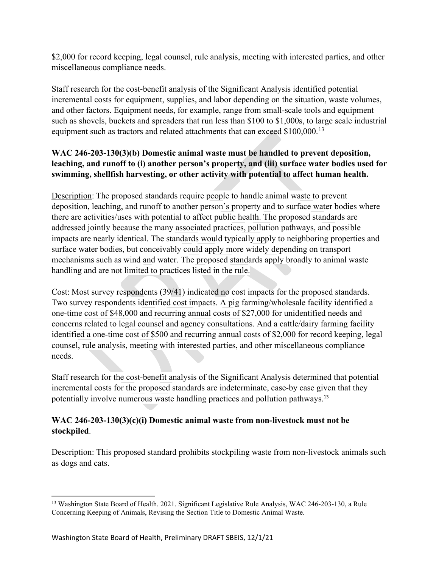\$2,000 for record keeping, legal counsel, rule analysis, meeting with interested parties, and other miscellaneous compliance needs.

Staff research for the cost-benefit analysis of the Significant Analysis identified potential incremental costs for equipment, supplies, and labor depending on the situation, waste volumes, and other factors. Equipment needs, for example, range from small-scale tools and equipment such as shovels, buckets and spreaders that run less than \$100 to \$1,000s, to large scale industrial equipment such as tractors and related attachments that can exceed \$100,000.<sup>[13](#page-6-0)</sup>

## **WAC 246-203-130(3)(b) Domestic animal waste must be handled to prevent deposition, leaching, and runoff to (i) another person's property, and (iii) surface water bodies used for swimming, shellfish harvesting, or other activity with potential to affect human health.**

Description: The proposed standards require people to handle animal waste to prevent deposition, leaching, and runoff to another person's property and to surface water bodies where there are activities/uses with potential to affect public health. The proposed standards are addressed jointly because the many associated practices, pollution pathways, and possible impacts are nearly identical. The standards would typically apply to neighboring properties and surface water bodies, but conceivably could apply more widely depending on transport mechanisms such as wind and water. The proposed standards apply broadly to animal waste handling and are not limited to practices listed in the rule.

Cost: Most survey respondents (39/41) indicated no cost impacts for the proposed standards. Two survey respondents identified cost impacts. A pig farming/wholesale facility identified a one-time cost of \$48,000 and recurring annual costs of \$27,000 for unidentified needs and concerns related to legal counsel and agency consultations. And a cattle/dairy farming facility identified a one-time cost of \$500 and recurring annual costs of \$2,000 for record keeping, legal counsel, rule analysis, meeting with interested parties, and other miscellaneous compliance needs.

Staff research for the cost-benefit analysis of the Significant Analysis determined that potential incremental costs for the proposed standards are indeterminate, case-by case given that they potentially involve numerous waste handling practices and pollution pathways.<sup>13</sup>

# **WAC 246-203-130(3)(c)(i) Domestic animal waste from non-livestock must not be stockpiled**.

Description: This proposed standard prohibits stockpiling waste from non-livestock animals such as dogs and cats.

<span id="page-6-0"></span><sup>&</sup>lt;sup>13</sup> Washington State Board of Health. 2021. Significant Legislative Rule Analysis, WAC 246-203-130, a Rule Concerning Keeping of Animals, Revising the Section Title to Domestic Animal Waste.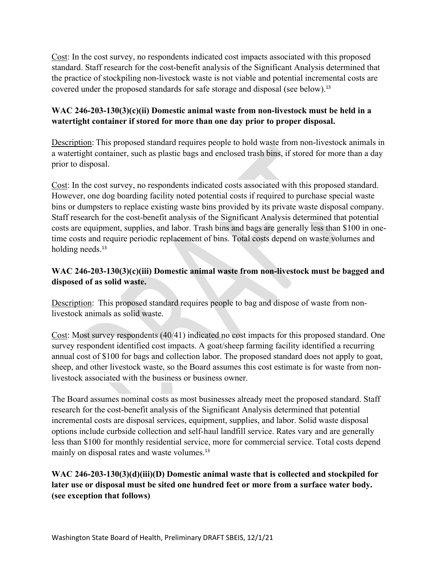Cost: In the cost survey, no respondents indicated cost impacts associated with this proposed standard. Staff research for the cost-benefit analysis of the Significant Analysis determined that the practice of stockpiling non-livestock waste is not viable and potential incremental costs are covered under the proposed standards for safe storage and disposal (see below). 13

## **WAC 246-203-130(3)(c)(ii) Domestic animal waste from non-livestock must be held in a watertight container if stored for more than one day prior to proper disposal.**

Description: This proposed standard requires people to hold waste from non-livestock animals in a watertight container, such as plastic bags and enclosed trash bins, if stored for more than a day prior to disposal.

Cost: In the cost survey, no respondents indicated costs associated with this proposed standard. However, one dog boarding facility noted potential costs if required to purchase special waste bins or dumpsters to replace existing waste bins provided by its private waste disposal company. Staff research for the cost-benefit analysis of the Significant Analysis determined that potential costs are equipment, supplies, and labor. Trash bins and bags are generally less than \$100 in onetime costs and require periodic replacement of bins. Total costs depend on waste volumes and holding needs.<sup>13</sup>

# **WAC 246-203-130(3)(c)(iii) Domestic animal waste from non-livestock must be bagged and disposed of as solid waste.**

Description: This proposed standard requires people to bag and dispose of waste from nonlivestock animals as solid waste.

Cost: Most survey respondents (40/41) indicated no cost impacts for this proposed standard. One survey respondent identified cost impacts. A goat/sheep farming facility identified a recurring annual cost of \$100 for bags and collection labor. The proposed standard does not apply to goat, sheep, and other livestock waste, so the Board assumes this cost estimate is for waste from nonlivestock associated with the business or business owner.

The Board assumes nominal costs as most businesses already meet the proposed standard. Staff research for the cost-benefit analysis of the Significant Analysis determined that potential incremental costs are disposal services, equipment, supplies, and labor. Solid waste disposal options include curbside collection and self-haul landfill service. Rates vary and are generally less than \$100 for monthly residential service, more for commercial service. Total costs depend mainly on disposal rates and waste volumes.<sup>13</sup>

# **WAC 246-203-130(3)(d)(iii)(D) Domestic animal waste that is collected and stockpiled for later use or disposal must be sited one hundred feet or more from a surface water body. (see exception that follows)**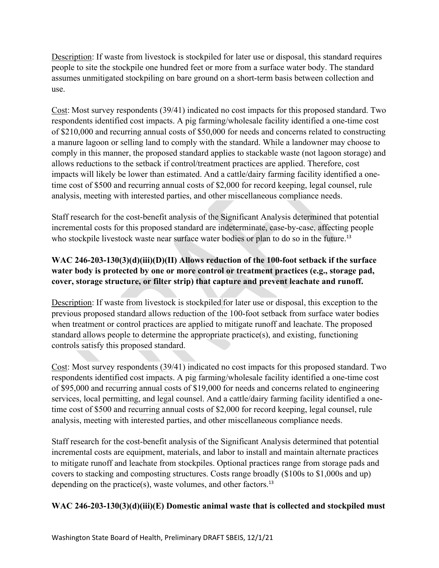Description: If waste from livestock is stockpiled for later use or disposal, this standard requires people to site the stockpile one hundred feet or more from a surface water body. The standard assumes unmitigated stockpiling on bare ground on a short-term basis between collection and use.

Cost: Most survey respondents (39/41) indicated no cost impacts for this proposed standard. Two respondents identified cost impacts. A pig farming/wholesale facility identified a one-time cost of \$210,000 and recurring annual costs of \$50,000 for needs and concerns related to constructing a manure lagoon or selling land to comply with the standard. While a landowner may choose to comply in this manner, the proposed standard applies to stackable waste (not lagoon storage) and allows reductions to the setback if control/treatment practices are applied. Therefore, cost impacts will likely be lower than estimated. And a cattle/dairy farming facility identified a onetime cost of \$500 and recurring annual costs of \$2,000 for record keeping, legal counsel, rule analysis, meeting with interested parties, and other miscellaneous compliance needs.

Staff research for the cost-benefit analysis of the Significant Analysis determined that potential incremental costs for this proposed standard are indeterminate, case-by-case, affecting people who stockpile livestock waste near surface water bodies or plan to do so in the future.<sup>13</sup>

# **WAC 246-203-130(3)(d)(iii)(D)(II) Allows reduction of the 100-foot setback if the surface water body is protected by one or more control or treatment practices (e.g., storage pad, cover, storage structure, or filter strip) that capture and prevent leachate and runoff.**

Description: If waste from livestock is stockpiled for later use or disposal, this exception to the previous proposed standard allows reduction of the 100-foot setback from surface water bodies when treatment or control practices are applied to mitigate runoff and leachate. The proposed standard allows people to determine the appropriate practice(s), and existing, functioning controls satisfy this proposed standard.

Cost: Most survey respondents (39/41) indicated no cost impacts for this proposed standard. Two respondents identified cost impacts. A pig farming/wholesale facility identified a one-time cost of \$95,000 and recurring annual costs of \$19,000 for needs and concerns related to engineering services, local permitting, and legal counsel. And a cattle/dairy farming facility identified a onetime cost of \$500 and recurring annual costs of \$2,000 for record keeping, legal counsel, rule analysis, meeting with interested parties, and other miscellaneous compliance needs.

Staff research for the cost-benefit analysis of the Significant Analysis determined that potential incremental costs are equipment, materials, and labor to install and maintain alternate practices to mitigate runoff and leachate from stockpiles. Optional practices range from storage pads and covers to stacking and composting structures. Costs range broadly (\$100s to \$1,000s and up) depending on the practice(s), waste volumes, and other factors.<sup>13</sup>

# WAC 246-203-130(3)(d)(iii)(E) Domestic animal waste that is collected and stockpiled must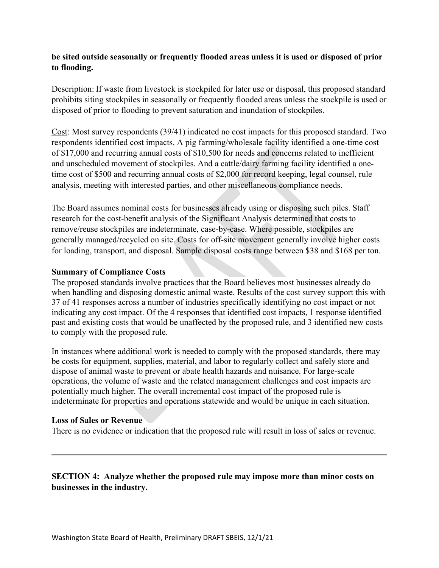#### **be sited outside seasonally or frequently flooded areas unless it is used or disposed of prior to flooding.**

Description: If waste from livestock is stockpiled for later use or disposal, this proposed standard prohibits siting stockpiles in seasonally or frequently flooded areas unless the stockpile is used or disposed of prior to flooding to prevent saturation and inundation of stockpiles.

Cost: Most survey respondents (39/41) indicated no cost impacts for this proposed standard. Two respondents identified cost impacts. A pig farming/wholesale facility identified a one-time cost of \$17,000 and recurring annual costs of \$10,500 for needs and concerns related to inefficient and unscheduled movement of stockpiles. And a cattle/dairy farming facility identified a onetime cost of \$500 and recurring annual costs of \$2,000 for record keeping, legal counsel, rule analysis, meeting with interested parties, and other miscellaneous compliance needs.

The Board assumes nominal costs for businesses already using or disposing such piles. Staff research for the cost-benefit analysis of the Significant Analysis determined that costs to remove/reuse stockpiles are indeterminate, case-by-case. Where possible, stockpiles are generally managed/recycled on site. Costs for off-site movement generally involve higher costs for loading, transport, and disposal. Sample disposal costs range between \$38 and \$168 per ton.

#### **Summary of Compliance Costs**

The proposed standards involve practices that the Board believes most businesses already do when handling and disposing domestic animal waste. Results of the cost survey support this with 37 of 41 responses across a number of industries specifically identifying no cost impact or not indicating any cost impact. Of the 4 responses that identified cost impacts, 1 response identified past and existing costs that would be unaffected by the proposed rule, and 3 identified new costs to comply with the proposed rule.

In instances where additional work is needed to comply with the proposed standards, there may be costs for equipment, supplies, material, and labor to regularly collect and safely store and dispose of animal waste to prevent or abate health hazards and nuisance. For large-scale operations, the volume of waste and the related management challenges and cost impacts are potentially much higher. The overall incremental cost impact of the proposed rule is indeterminate for properties and operations statewide and would be unique in each situation.

#### **Loss of Sales or Revenue**

There is no evidence or indication that the proposed rule will result in loss of sales or revenue.

## **SECTION 4: Analyze whether the proposed rule may impose more than minor costs on businesses in the industry.**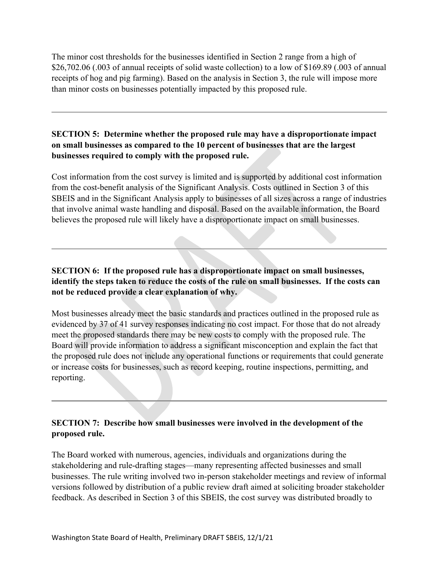The minor cost thresholds for the businesses identified in Section 2 range from a high of \$26,702.06 (.003 of annual receipts of solid waste collection) to a low of \$169.89 (.003 of annual receipts of hog and pig farming). Based on the analysis in Section 3, the rule will impose more than minor costs on businesses potentially impacted by this proposed rule.

## **SECTION 5: Determine whether the proposed rule may have a disproportionate impact on small businesses as compared to the 10 percent of businesses that are the largest businesses required to comply with the proposed rule.**

Cost information from the cost survey is limited and is supported by additional cost information from the cost-benefit analysis of the Significant Analysis. Costs outlined in Section 3 of this SBEIS and in the Significant Analysis apply to businesses of all sizes across a range of industries that involve animal waste handling and disposal. Based on the available information, the Board believes the proposed rule will likely have a disproportionate impact on small businesses.

## **SECTION 6: If the proposed rule has a disproportionate impact on small businesses, identify the steps taken to reduce the costs of the rule on small businesses. If the costs can not be reduced provide a clear explanation of why.**

Most businesses already meet the basic standards and practices outlined in the proposed rule as evidenced by 37 of 41 survey responses indicating no cost impact. For those that do not already meet the proposed standards there may be new costs to comply with the proposed rule. The Board will provide information to address a significant misconception and explain the fact that the proposed rule does not include any operational functions or requirements that could generate or increase costs for businesses, such as record keeping, routine inspections, permitting, and reporting.

# **SECTION 7: Describe how small businesses were involved in the development of the proposed rule.**

The Board worked with numerous, agencies, individuals and organizations during the stakeholdering and rule-drafting stages—many representing affected businesses and small businesses. The rule writing involved two in-person stakeholder meetings and review of informal versions followed by distribution of a public review draft aimed at soliciting broader stakeholder feedback. As described in Section 3 of this SBEIS, the cost survey was distributed broadly to